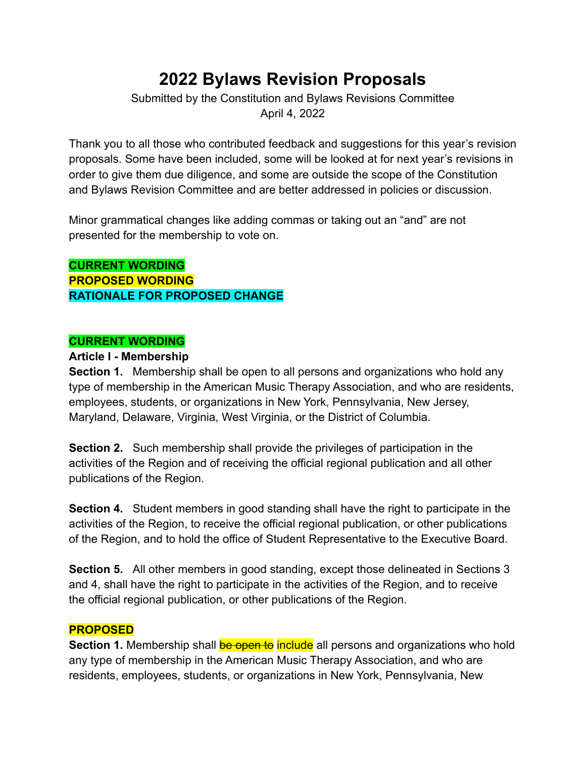# **2022 Bylaws Revision Proposals**

Submitted by the Constitution and Bylaws Revisions Committee April 4, 2022

Thank you to all those who contributed feedback and suggestions for this year's revision proposals. Some have been included, some will be looked at for next year's revisions in order to give them due diligence, and some are outside the scope of the Constitution and Bylaws Revision Committee and are better addressed in policies or discussion.

Minor grammatical changes like adding commas or taking out an "and" are not presented for the membership to vote on.

**CURRENT WORDING PROPOSED WORDING RATIONALE FOR PROPOSED CHANGE**

## **CURRENT WORDING**

#### **Article I - Membership**

**Section 1.** Membership shall be open to all persons and organizations who hold any type of membership in the American Music Therapy Association, and who are residents, employees, students, or organizations in New York, Pennsylvania, New Jersey, Maryland, Delaware, Virginia, West Virginia, or the District of Columbia.

**Section 2.** Such membership shall provide the privileges of participation in the activities of the Region and of receiving the official regional publication and all other publications of the Region.

**Section 4.** Student members in good standing shall have the right to participate in the activities of the Region, to receive the official regional publication, or other publications of the Region, and to hold the office of Student Representative to the Executive Board.

**Section 5.** All other members in good standing, except those delineated in Sections 3 and 4, shall have the right to participate in the activities of the Region, and to receive the official regional publication, or other publications of the Region.

#### **PROPOSED**

**Section 1.** Membership shall **be open to include** all persons and organizations who hold any type of membership in the American Music Therapy Association, and who are residents, employees, students, or organizations in New York, Pennsylvania, New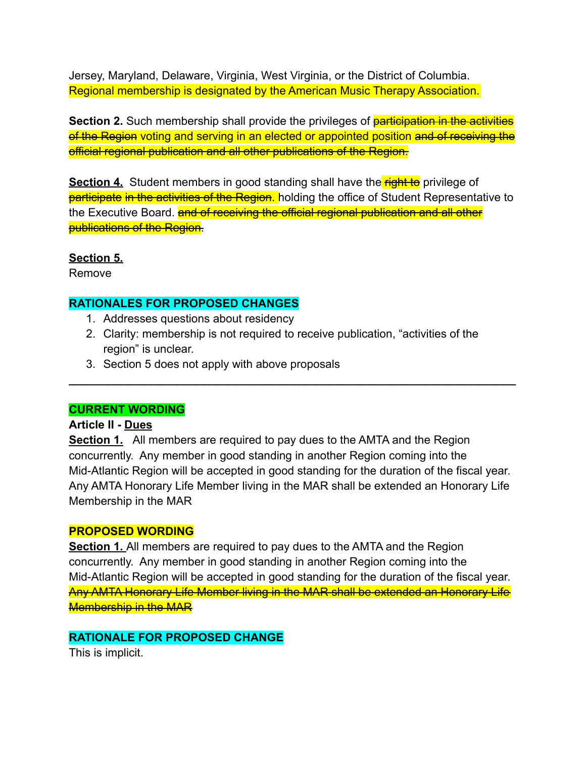Jersey, Maryland, Delaware, Virginia, West Virginia, or the District of Columbia. Regional membership is designated by the American Music Therapy Association.

**Section 2.** Such membership shall provide the privileges of **participation in the activities** of the Region voting and serving in an elected or appointed position and of receiving the official regional publication and all other publications of the Region.

**Section 4.** Student members in good standing shall have the **right to** privilege of **participate in the activities of the Region.** holding the office of Student Representative to the Executive Board. **and of receiving the official regional publication and all other** publications of the Region.

## **Section 5.**

Remove

# **RATIONALES FOR PROPOSED CHANGES**

- 1. Addresses questions about residency
- 2. Clarity: membership is not required to receive publication, "activities of the region" is unclear.

**\_\_\_\_\_\_\_\_\_\_\_\_\_\_\_\_\_\_\_\_\_\_\_\_\_\_\_\_\_\_\_\_\_\_\_\_\_\_\_\_\_\_\_\_\_\_\_\_\_\_\_\_\_\_\_\_\_\_\_\_\_\_\_\_\_\_\_\_\_\_**

3. Section 5 does not apply with above proposals

## **CURRENT WORDING**

## **Article II - Dues**

**Section 1.** All members are required to pay dues to the AMTA and the Region concurrently. Any member in good standing in another Region coming into the Mid-Atlantic Region will be accepted in good standing for the duration of the fiscal year. Any AMTA Honorary Life Member living in the MAR shall be extended an Honorary Life Membership in the MAR

## **PROPOSED WORDING**

**Section 1.** All members are required to pay dues to the AMTA and the Region concurrently. Any member in good standing in another Region coming into the Mid-Atlantic Region will be accepted in good standing for the duration of the fiscal year. Any AMTA Honorary Life Member living in the MAR shall be extended an Honorary Life Membership in the MAR

# **RATIONALE FOR PROPOSED CHANGE**

This is implicit.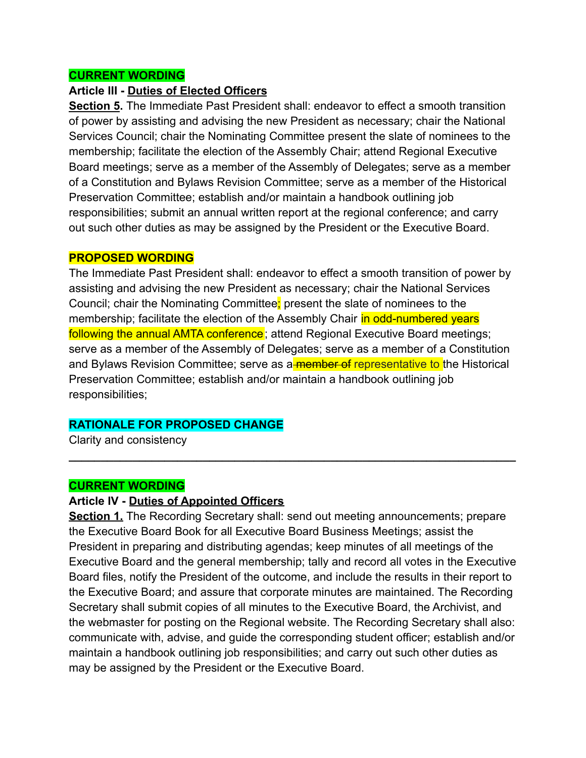#### **CURRENT WORDING**

#### **Article III - Duties of Elected Officers**

**Section 5.** The Immediate Past President shall: endeavor to effect a smooth transition of power by assisting and advising the new President as necessary; chair the National Services Council; chair the Nominating Committee present the slate of nominees to the membership; facilitate the election of the Assembly Chair; attend Regional Executive Board meetings; serve as a member of the Assembly of Delegates; serve as a member of a Constitution and Bylaws Revision Committee; serve as a member of the Historical Preservation Committee; establish and/or maintain a handbook outlining job responsibilities; submit an annual written report at the regional conference; and carry out such other duties as may be assigned by the President or the Executive Board.

#### **PROPOSED WORDING**

The Immediate Past President shall: endeavor to effect a smooth transition of power by assisting and advising the new President as necessary; chair the National Services Council; chair the Nominating Committee; present the slate of nominees to the membership; facilitate the election of the Assembly Chair in odd-numbered years following the annual AMTA conference; attend Regional Executive Board meetings; serve as a member of the Assembly of Delegates; serve as a member of a Constitution and Bylaws Revision Committee; serve as a member of representative to the Historical Preservation Committee; establish and/or maintain a handbook outlining job responsibilities;

**\_\_\_\_\_\_\_\_\_\_\_\_\_\_\_\_\_\_\_\_\_\_\_\_\_\_\_\_\_\_\_\_\_\_\_\_\_\_\_\_\_\_\_\_\_\_\_\_\_\_\_\_\_\_\_\_\_\_\_\_\_\_\_\_\_\_\_\_\_\_**

#### **RATIONALE FOR PROPOSED CHANGE**

Clarity and consistency

#### **CURRENT WORDING**

#### **Article IV - Duties of Appointed Officers**

**Section 1.** The Recording Secretary shall: send out meeting announcements; prepare the Executive Board Book for all Executive Board Business Meetings; assist the President in preparing and distributing agendas; keep minutes of all meetings of the Executive Board and the general membership; tally and record all votes in the Executive Board files, notify the President of the outcome, and include the results in their report to the Executive Board; and assure that corporate minutes are maintained. The Recording Secretary shall submit copies of all minutes to the Executive Board, the Archivist, and the webmaster for posting on the Regional website. The Recording Secretary shall also: communicate with, advise, and guide the corresponding student officer; establish and/or maintain a handbook outlining job responsibilities; and carry out such other duties as may be assigned by the President or the Executive Board.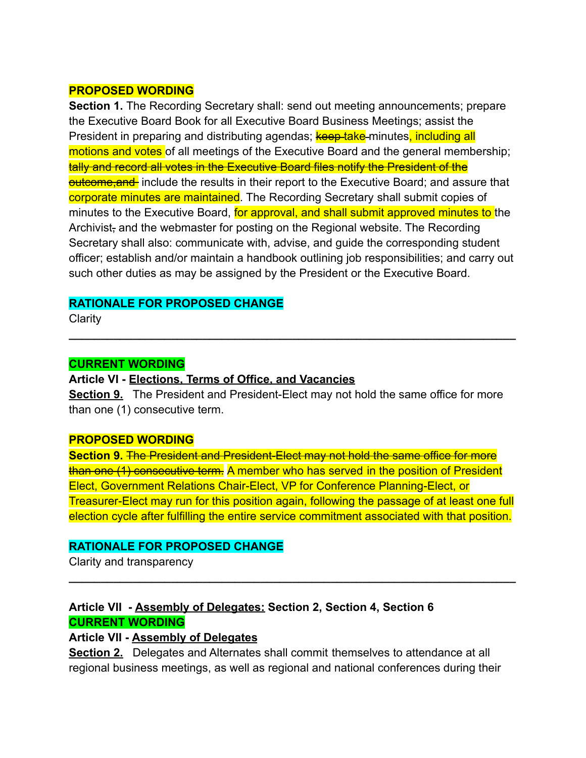#### **PROPOSED WORDING**

**Section 1.** The Recording Secretary shall: send out meeting announcements; prepare the Executive Board Book for all Executive Board Business Meetings; assist the President in preparing and distributing agendas; **keep take-minutes**, including all motions and votes of all meetings of the Executive Board and the general membership; tally and record all votes in the Executive Board files notify the President of the outcome, and include the results in their report to the Executive Board; and assure that corporate minutes are maintained. The Recording Secretary shall submit copies of minutes to the Executive Board, for approval, and shall submit approved minutes to the Archivist, and the webmaster for posting on the Regional website. The Recording Secretary shall also: communicate with, advise, and guide the corresponding student officer; establish and/or maintain a handbook outlining job responsibilities; and carry out such other duties as may be assigned by the President or the Executive Board.

#### **RATIONALE FOR PROPOSED CHANGE**

**Clarity** 

#### **CURRENT WORDING**

**Article VI - Elections, Terms of Office, and Vacancies**

**Section 9.** The President and President-Elect may not hold the same office for more than one (1) consecutive term.

**\_\_\_\_\_\_\_\_\_\_\_\_\_\_\_\_\_\_\_\_\_\_\_\_\_\_\_\_\_\_\_\_\_\_\_\_\_\_\_\_\_\_\_\_\_\_\_\_\_\_\_\_\_\_\_\_\_\_\_\_\_\_\_\_\_\_\_\_\_\_**

#### **PROPOSED WORDING**

**Section 9. The President and President-Elect may not hold the same office for more** than one (1) consecutive term. A member who has served in the position of President Elect, Government Relations Chair-Elect, VP for Conference Planning-Elect, or Treasurer-Elect may run for this position again, following the passage of at least one full election cycle after fulfilling the entire service commitment associated with that position.

**\_\_\_\_\_\_\_\_\_\_\_\_\_\_\_\_\_\_\_\_\_\_\_\_\_\_\_\_\_\_\_\_\_\_\_\_\_\_\_\_\_\_\_\_\_\_\_\_\_\_\_\_\_\_\_\_\_\_\_\_\_\_\_\_\_\_\_\_\_\_**

#### **RATIONALE FOR PROPOSED CHANGE**

Clarity and transparency

# **Article VII - Assembly of Delegates: Section 2, Section 4, Section 6 CURRENT WORDING**

#### **Article VII - Assembly of Delegates**

**Section 2.** Delegates and Alternates shall commit themselves to attendance at all regional business meetings, as well as regional and national conferences during their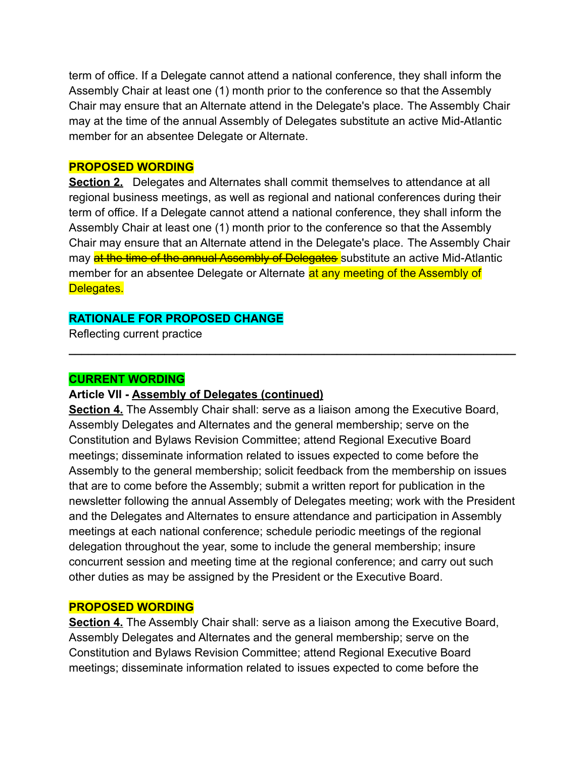term of office. If a Delegate cannot attend a national conference, they shall inform the Assembly Chair at least one (1) month prior to the conference so that the Assembly Chair may ensure that an Alternate attend in the Delegate's place. The Assembly Chair may at the time of the annual Assembly of Delegates substitute an active Mid-Atlantic member for an absentee Delegate or Alternate.

#### **PROPOSED WORDING**

**Section 2.** Delegates and Alternates shall commit themselves to attendance at all regional business meetings, as well as regional and national conferences during their term of office. If a Delegate cannot attend a national conference, they shall inform the Assembly Chair at least one (1) month prior to the conference so that the Assembly Chair may ensure that an Alternate attend in the Delegate's place. The Assembly Chair may at the time of the annual Assembly of Delegates substitute an active Mid-Atlantic member for an absentee Delegate or Alternate at any meeting of the Assembly of Delegates.

**\_\_\_\_\_\_\_\_\_\_\_\_\_\_\_\_\_\_\_\_\_\_\_\_\_\_\_\_\_\_\_\_\_\_\_\_\_\_\_\_\_\_\_\_\_\_\_\_\_\_\_\_\_\_\_\_\_\_\_\_\_\_\_\_\_\_\_\_\_\_**

#### **RATIONALE FOR PROPOSED CHANGE**

Reflecting current practice

#### **CURRENT WORDING**

#### **Article VII - Assembly of Delegates (continued)**

**Section 4.** The Assembly Chair shall: serve as a liaison among the Executive Board, Assembly Delegates and Alternates and the general membership; serve on the Constitution and Bylaws Revision Committee; attend Regional Executive Board meetings; disseminate information related to issues expected to come before the Assembly to the general membership; solicit feedback from the membership on issues that are to come before the Assembly; submit a written report for publication in the newsletter following the annual Assembly of Delegates meeting; work with the President and the Delegates and Alternates to ensure attendance and participation in Assembly meetings at each national conference; schedule periodic meetings of the regional delegation throughout the year, some to include the general membership; insure concurrent session and meeting time at the regional conference; and carry out such other duties as may be assigned by the President or the Executive Board.

#### **PROPOSED WORDING**

**Section 4.** The Assembly Chair shall: serve as a liaison among the Executive Board, Assembly Delegates and Alternates and the general membership; serve on the Constitution and Bylaws Revision Committee; attend Regional Executive Board meetings; disseminate information related to issues expected to come before the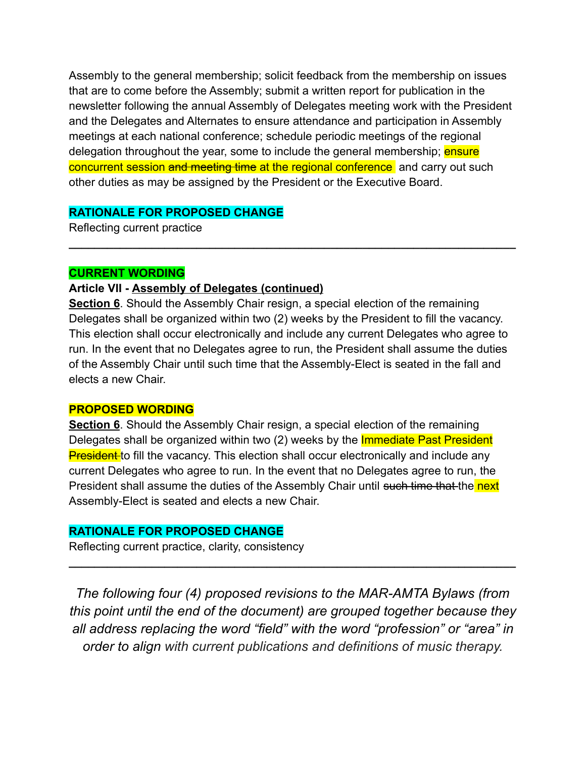Assembly to the general membership; solicit feedback from the membership on issues that are to come before the Assembly; submit a written report for publication in the newsletter following the annual Assembly of Delegates meeting work with the President and the Delegates and Alternates to ensure attendance and participation in Assembly meetings at each national conference; schedule periodic meetings of the regional delegation throughout the year, some to include the general membership; ensure concurrent session and meeting time at the regional conference and carry out such other duties as may be assigned by the President or the Executive Board.

## **RATIONALE FOR PROPOSED CHANGE**

Reflecting current practice

#### **CURRENT WORDING**

## **Article VII - Assembly of Delegates (continued)**

**Section 6**. Should the Assembly Chair resign, a special election of the remaining Delegates shall be organized within two (2) weeks by the President to fill the vacancy. This election shall occur electronically and include any current Delegates who agree to run. In the event that no Delegates agree to run, the President shall assume the duties of the Assembly Chair until such time that the Assembly-Elect is seated in the fall and elects a new Chair.

**\_\_\_\_\_\_\_\_\_\_\_\_\_\_\_\_\_\_\_\_\_\_\_\_\_\_\_\_\_\_\_\_\_\_\_\_\_\_\_\_\_\_\_\_\_\_\_\_\_\_\_\_\_\_\_\_\_\_\_\_\_\_\_\_\_\_\_\_\_\_**

#### **PROPOSED WORDING**

**Section 6**. Should the Assembly Chair resign, a special election of the remaining Delegates shall be organized within two (2) weeks by the **Immediate Past President President** to fill the vacancy. This election shall occur electronically and include any current Delegates who agree to run. In the event that no Delegates agree to run, the President shall assume the duties of the Assembly Chair until such time that the next Assembly-Elect is seated and elects a new Chair.

#### **RATIONALE FOR PROPOSED CHANGE**

Reflecting current practice, clarity, consistency

*The following four (4) proposed revisions to the MAR-AMTA Bylaws (from this point until the end of the document) are grouped together because they all address replacing the word "field" with the word "profession" or "area" in order to align with current publications and definitions of music therapy.*

**\_\_\_\_\_\_\_\_\_\_\_\_\_\_\_\_\_\_\_\_\_\_\_\_\_\_\_\_\_\_\_\_\_\_\_\_\_\_\_\_\_\_\_\_\_\_\_\_\_\_\_\_\_\_\_\_\_\_\_\_\_\_\_\_\_\_\_\_\_\_**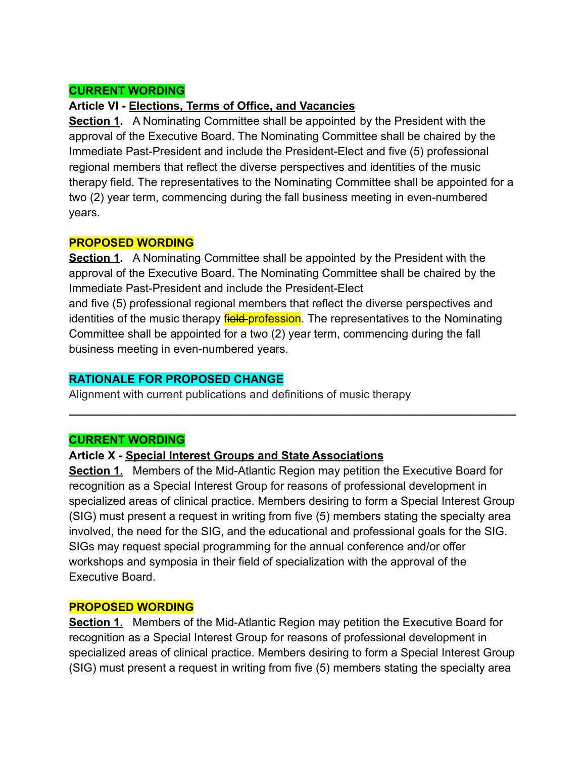## **CURRENT WORDING**

#### **Article VI - Elections, Terms of Office, and Vacancies**

**Section 1.** A Nominating Committee shall be appointed by the President with the approval of the Executive Board. The Nominating Committee shall be chaired by the Immediate Past-President and include the President-Elect and five (5) professional regional members that reflect the diverse perspectives and identities of the music therapy field. The representatives to the Nominating Committee shall be appointed for a two (2) year term, commencing during the fall business meeting in even-numbered years.

#### **PROPOSED WORDING**

**Section 1.** A Nominating Committee shall be appointed by the President with the approval of the Executive Board. The Nominating Committee shall be chaired by the Immediate Past-President and include the President-Elect and five (5) professional regional members that reflect the diverse perspectives and identities of the music therapy field-profession. The representatives to the Nominating Committee shall be appointed for a two (2) year term, commencing during the fall business meeting in even-numbered years.

#### **RATIONALE FOR PROPOSED CHANGE**

Alignment with current publications and definitions of music therapy

#### **CURRENT WORDING**

#### **Article X - Special Interest Groups and State Associations**

**Section 1.** Members of the Mid-Atlantic Region may petition the Executive Board for recognition as a Special Interest Group for reasons of professional development in specialized areas of clinical practice. Members desiring to form a Special Interest Group (SIG) must present a request in writing from five (5) members stating the specialty area involved, the need for the SIG, and the educational and professional goals for the SIG. SIGs may request special programming for the annual conference and/or offer workshops and symposia in their field of specialization with the approval of the Executive Board.

**\_\_\_\_\_\_\_\_\_\_\_\_\_\_\_\_\_\_\_\_\_\_\_\_\_\_\_\_\_\_\_\_\_\_\_\_\_\_\_\_\_\_\_\_\_\_\_\_\_\_\_\_\_\_\_\_\_\_\_\_\_\_\_\_\_\_\_\_\_\_**

#### **PROPOSED WORDING**

**Section 1.** Members of the Mid-Atlantic Region may petition the Executive Board for recognition as a Special Interest Group for reasons of professional development in specialized areas of clinical practice. Members desiring to form a Special Interest Group (SIG) must present a request in writing from five (5) members stating the specialty area